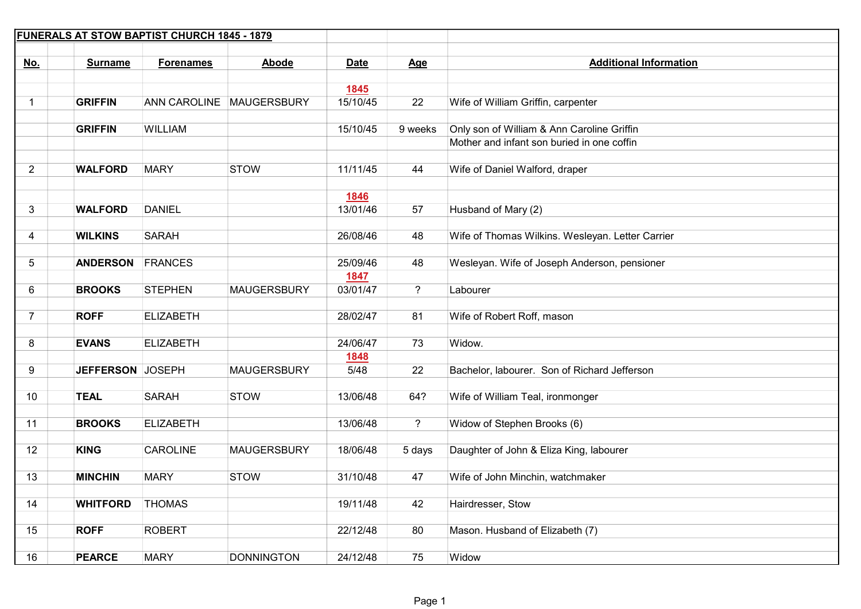| <b>FUNERALS AT STOW BAPTIST CHURCH 1845 - 1879</b> |                  |                  |                          |                  |                |                                                  |
|----------------------------------------------------|------------------|------------------|--------------------------|------------------|----------------|--------------------------------------------------|
|                                                    |                  |                  |                          |                  |                |                                                  |
| <u>No.</u>                                         | <b>Surname</b>   | <b>Forenames</b> | Abode                    | <b>Date</b>      | Age            | <b>Additional Information</b>                    |
|                                                    |                  |                  |                          | <b>1845</b>      |                |                                                  |
| 1                                                  | <b>GRIFFIN</b>   |                  | ANN CAROLINE MAUGERSBURY | 15/10/45         | 22             | Wife of William Griffin, carpenter               |
|                                                    |                  |                  |                          |                  |                |                                                  |
|                                                    | <b>GRIFFIN</b>   | <b>WILLIAM</b>   |                          | 15/10/45         | 9 weeks        | Only son of William & Ann Caroline Griffin       |
|                                                    |                  |                  |                          |                  |                | Mother and infant son buried in one coffin       |
|                                                    |                  |                  |                          |                  |                |                                                  |
| $\overline{2}$                                     | <b>WALFORD</b>   | <b>MARY</b>      | <b>STOW</b>              | 11/11/45         | 44             | Wife of Daniel Walford, draper                   |
|                                                    |                  |                  |                          | 1846             |                |                                                  |
| 3                                                  | <b>WALFORD</b>   | <b>DANIEL</b>    |                          | 13/01/46         | 57             | Husband of Mary (2)                              |
|                                                    |                  |                  |                          |                  |                |                                                  |
| 4                                                  | <b>WILKINS</b>   | <b>SARAH</b>     |                          | 26/08/46         | 48             | Wife of Thomas Wilkins. Wesleyan. Letter Carrier |
|                                                    |                  |                  |                          |                  |                |                                                  |
| 5                                                  | <b>ANDERSON</b>  | <b>FRANCES</b>   |                          | 25/09/46         | 48             | Wesleyan. Wife of Joseph Anderson, pensioner     |
| 6                                                  | <b>BROOKS</b>    | <b>STEPHEN</b>   | <b>MAUGERSBURY</b>       | 1847<br>03/01/47 | $\overline{?}$ | Labourer                                         |
|                                                    |                  |                  |                          |                  |                |                                                  |
| $\overline{7}$                                     | <b>ROFF</b>      | <b>ELIZABETH</b> |                          | 28/02/47         | 81             | Wife of Robert Roff, mason                       |
|                                                    |                  |                  |                          |                  |                |                                                  |
| 8                                                  | <b>EVANS</b>     | <b>ELIZABETH</b> |                          | 24/06/47         | 73             | Widow.                                           |
|                                                    |                  |                  |                          | 1848             |                |                                                  |
| 9                                                  | JEFFERSON JOSEPH |                  | <b>MAUGERSBURY</b>       | 5/48             | 22             | Bachelor, labourer. Son of Richard Jefferson     |
| 10                                                 | <b>TEAL</b>      | <b>SARAH</b>     | <b>STOW</b>              | 13/06/48         | 64?            | Wife of William Teal, ironmonger                 |
|                                                    |                  |                  |                          |                  |                |                                                  |
| 11                                                 | <b>BROOKS</b>    | <b>ELIZABETH</b> |                          | 13/06/48         | $\overline{?}$ | Widow of Stephen Brooks (6)                      |
|                                                    |                  |                  |                          |                  |                |                                                  |
| 12                                                 | <b>KING</b>      | <b>CAROLINE</b>  | <b>MAUGERSBURY</b>       | 18/06/48         | 5 days         | Daughter of John & Eliza King, labourer          |
|                                                    |                  |                  |                          |                  |                |                                                  |
| 13                                                 | <b>MINCHIN</b>   | <b>MARY</b>      | <b>STOW</b>              | 31/10/48         | 47             | Wife of John Minchin, watchmaker                 |
|                                                    | <b>WHITFORD</b>  | <b>THOMAS</b>    |                          | 19/11/48         | 42             |                                                  |
| 14                                                 |                  |                  |                          |                  |                | Hairdresser, Stow                                |
| 15                                                 | <b>ROFF</b>      | <b>ROBERT</b>    |                          | 22/12/48         | 80             | Mason. Husband of Elizabeth (7)                  |
|                                                    |                  |                  |                          |                  |                |                                                  |
| 16                                                 | <b>PEARCE</b>    | <b>MARY</b>      | <b>DONNINGTON</b>        | 24/12/48         | 75             | Widow                                            |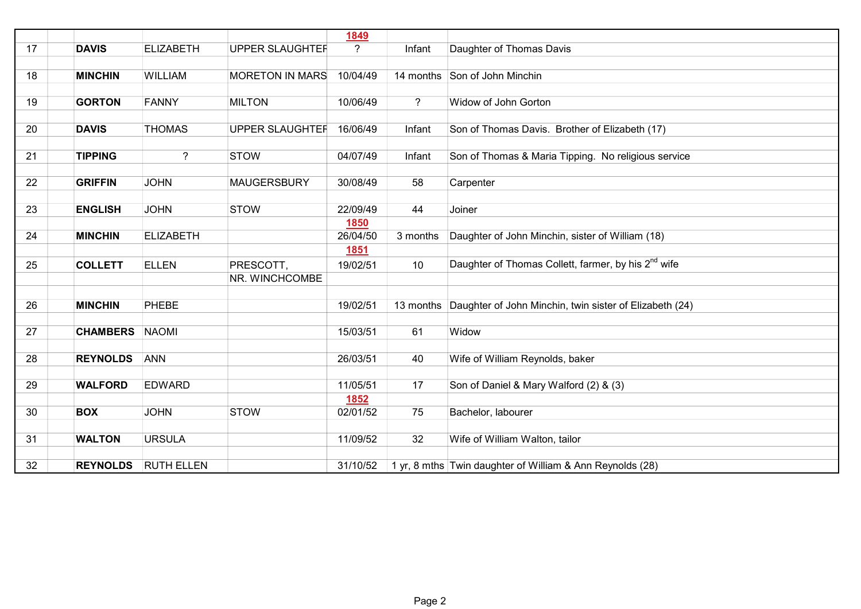|    |                 |                   |                        | <b>1849</b>    |             |                                                                 |
|----|-----------------|-------------------|------------------------|----------------|-------------|-----------------------------------------------------------------|
| 17 | <b>DAVIS</b>    | <b>ELIZABETH</b>  | <b>UPPER SLAUGHTEF</b> | $\overline{?}$ | Infant      | Daughter of Thomas Davis                                        |
|    |                 |                   |                        |                |             |                                                                 |
| 18 | <b>MINCHIN</b>  | WILLIAM           | <b>MORETON IN MARS</b> | 10/04/49       |             | 14 months Son of John Minchin                                   |
|    |                 |                   |                        |                |             |                                                                 |
| 19 | <b>GORTON</b>   | <b>FANNY</b>      | <b>MILTON</b>          | 10/06/49       | $\tilde{?}$ | Widow of John Gorton                                            |
| 20 | <b>DAVIS</b>    | <b>THOMAS</b>     | <b>UPPER SLAUGHTEF</b> | 16/06/49       | Infant      | Son of Thomas Davis. Brother of Elizabeth (17)                  |
|    |                 |                   |                        |                |             |                                                                 |
| 21 | <b>TIPPING</b>  | $\overline{?}$    | <b>STOW</b>            | 04/07/49       | Infant      | Son of Thomas & Maria Tipping. No religious service             |
|    |                 |                   |                        |                |             |                                                                 |
| 22 | <b>GRIFFIN</b>  | <b>JOHN</b>       | <b>MAUGERSBURY</b>     | 30/08/49       | 58          | Carpenter                                                       |
|    |                 |                   |                        |                |             |                                                                 |
| 23 | <b>ENGLISH</b>  | <b>JOHN</b>       | <b>STOW</b>            | 22/09/49       | 44          | Joiner                                                          |
|    |                 |                   |                        | 1850           |             |                                                                 |
| 24 | <b>MINCHIN</b>  | <b>ELIZABETH</b>  |                        | 26/04/50       | 3 months    | Daughter of John Minchin, sister of William (18)                |
|    |                 |                   |                        | <b>1851</b>    |             |                                                                 |
| 25 | <b>COLLETT</b>  | <b>ELLEN</b>      | PRESCOTT,              | 19/02/51       | 10          | Daughter of Thomas Collett, farmer, by his 2 <sup>nd</sup> wife |
|    |                 |                   | NR. WINCHCOMBE         |                |             |                                                                 |
|    |                 |                   |                        |                |             |                                                                 |
| 26 | <b>MINCHIN</b>  | <b>PHEBE</b>      |                        | 19/02/51       | 13 months   | Daughter of John Minchin, twin sister of Elizabeth (24)         |
|    |                 |                   |                        |                |             | Widow                                                           |
| 27 | <b>CHAMBERS</b> | NAOMI             |                        | 15/03/51       | 61          |                                                                 |
| 28 | <b>REYNOLDS</b> | <b>ANN</b>        |                        | 26/03/51       | 40          | Wife of William Reynolds, baker                                 |
|    |                 |                   |                        |                |             |                                                                 |
| 29 | <b>WALFORD</b>  | <b>EDWARD</b>     |                        | 11/05/51       | 17          | Son of Daniel & Mary Walford (2) & (3)                          |
|    |                 |                   |                        | 1852           |             |                                                                 |
| 30 | <b>BOX</b>      | <b>JOHN</b>       | <b>STOW</b>            | 02/01/52       | 75          | Bachelor, labourer                                              |
|    |                 |                   |                        |                |             |                                                                 |
| 31 | <b>WALTON</b>   | <b>URSULA</b>     |                        | 11/09/52       | 32          | Wife of William Walton, tailor                                  |
|    |                 |                   |                        |                |             |                                                                 |
| 32 | <b>REYNOLDS</b> | <b>RUTH ELLEN</b> |                        | 31/10/52       |             | 1 yr, 8 mths Twin daughter of William & Ann Reynolds (28)       |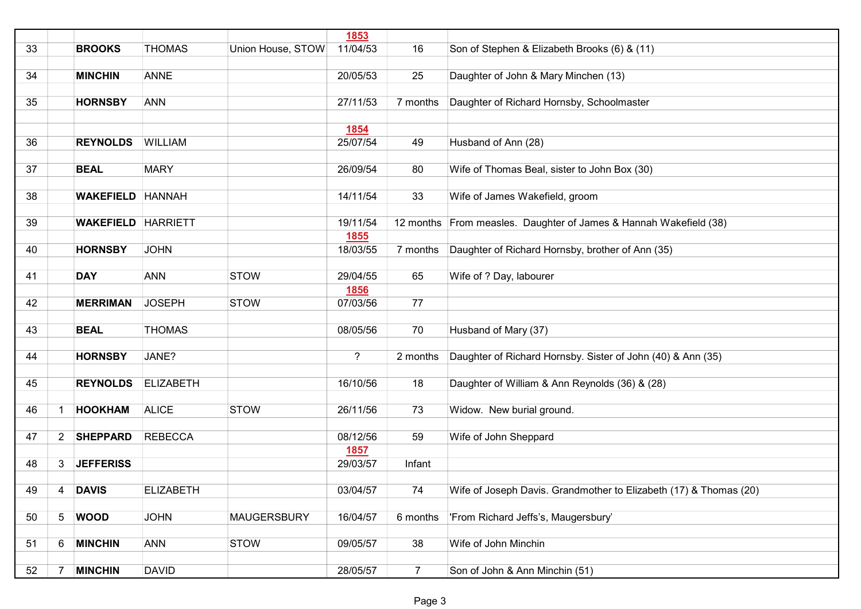|    |                |                           |                  |                    | 1853        |                |                                                                   |
|----|----------------|---------------------------|------------------|--------------------|-------------|----------------|-------------------------------------------------------------------|
| 33 |                | <b>BROOKS</b>             | <b>THOMAS</b>    | Union House, STOW  | 11/04/53    | 16             | Son of Stephen & Elizabeth Brooks (6) & (11)                      |
|    |                |                           |                  |                    |             |                |                                                                   |
| 34 |                | <b>MINCHIN</b>            | <b>ANNE</b>      |                    | 20/05/53    | 25             | Daughter of John & Mary Minchen (13)                              |
|    |                |                           |                  |                    |             |                |                                                                   |
| 35 |                | <b>HORNSBY</b>            | <b>ANN</b>       |                    | 27/11/53    | 7 months       | Daughter of Richard Hornsby, Schoolmaster                         |
|    |                |                           |                  |                    |             |                |                                                                   |
|    |                |                           |                  |                    | 1854        |                |                                                                   |
| 36 |                | <b>REYNOLDS</b>           | <b>WILLIAM</b>   |                    | 25/07/54    | 49             | Husband of Ann (28)                                               |
|    |                |                           |                  |                    |             |                |                                                                   |
| 37 |                | <b>BEAL</b>               | <b>MARY</b>      |                    | 26/09/54    | 80             | Wife of Thomas Beal, sister to John Box (30)                      |
|    |                |                           |                  |                    |             |                |                                                                   |
| 38 |                | <b>WAKEFIELD HANNAH</b>   |                  |                    | 14/11/54    | 33             |                                                                   |
|    |                |                           |                  |                    |             |                | Wife of James Wakefield, groom                                    |
|    |                |                           |                  |                    |             |                |                                                                   |
| 39 |                | <b>WAKEFIELD HARRIETT</b> |                  |                    | 19/11/54    |                | 12 months From measles. Daughter of James & Hannah Wakefield (38) |
|    |                |                           |                  |                    | 1855        |                |                                                                   |
| 40 |                | <b>HORNSBY</b>            | <b>JOHN</b>      |                    | 18/03/55    | 7 months       | Daughter of Richard Hornsby, brother of Ann (35)                  |
|    |                |                           |                  |                    |             |                |                                                                   |
| 41 |                | <b>DAY</b>                | <b>ANN</b>       | <b>STOW</b>        | 29/04/55    | 65             | Wife of ? Day, labourer                                           |
|    |                |                           |                  |                    | 1856        |                |                                                                   |
| 42 |                | <b>MERRIMAN</b>           | <b>JOSEPH</b>    | <b>STOW</b>        | 07/03/56    | 77             |                                                                   |
|    |                |                           |                  |                    |             |                |                                                                   |
| 43 |                | <b>BEAL</b>               | <b>THOMAS</b>    |                    | 08/05/56    | 70             | Husband of Mary (37)                                              |
|    |                |                           |                  |                    |             |                |                                                                   |
| 44 |                | <b>HORNSBY</b>            | JANE?            |                    | $\tilde{?}$ | 2 months       | Daughter of Richard Hornsby. Sister of John (40) & Ann (35)       |
|    |                |                           |                  |                    |             |                |                                                                   |
| 45 |                | <b>REYNOLDS</b>           | <b>ELIZABETH</b> |                    | 16/10/56    | 18             | Daughter of William & Ann Reynolds (36) & (28)                    |
|    |                |                           |                  |                    |             |                |                                                                   |
| 46 |                | <b>HOOKHAM</b>            | <b>ALICE</b>     | <b>STOW</b>        | 26/11/56    | 73             | Widow. New burial ground.                                         |
|    |                |                           |                  |                    |             |                |                                                                   |
| 47 | $2^{\circ}$    | <b>SHEPPARD</b>           | <b>REBECCA</b>   |                    | 08/12/56    | 59             | Wife of John Sheppard                                             |
|    |                |                           |                  |                    | 1857        |                |                                                                   |
| 48 | 3              | <b>JEFFERISS</b>          |                  |                    | 29/03/57    | Infant         |                                                                   |
|    |                |                           |                  |                    |             |                |                                                                   |
| 49 | 4              | <b>DAVIS</b>              | <b>ELIZABETH</b> |                    | 03/04/57    | 74             | Wife of Joseph Davis. Grandmother to Elizabeth (17) & Thomas (20) |
|    |                |                           |                  |                    |             |                |                                                                   |
| 50 | $\overline{5}$ | <b>WOOD</b>               | <b>JOHN</b>      | <b>MAUGERSBURY</b> | 16/04/57    | 6 months       | 'From Richard Jeffs's, Maugersbury'                               |
|    |                |                           |                  |                    |             |                |                                                                   |
| 51 | 6              | <b>MINCHIN</b>            | <b>ANN</b>       | <b>STOW</b>        | 09/05/57    | 38             | Wife of John Minchin                                              |
|    |                |                           |                  |                    |             |                |                                                                   |
|    |                |                           |                  |                    |             |                |                                                                   |
| 52 | 7              | <b>MINCHIN</b>            | <b>DAVID</b>     |                    | 28/05/57    | $\overline{7}$ | Son of John & Ann Minchin (51)                                    |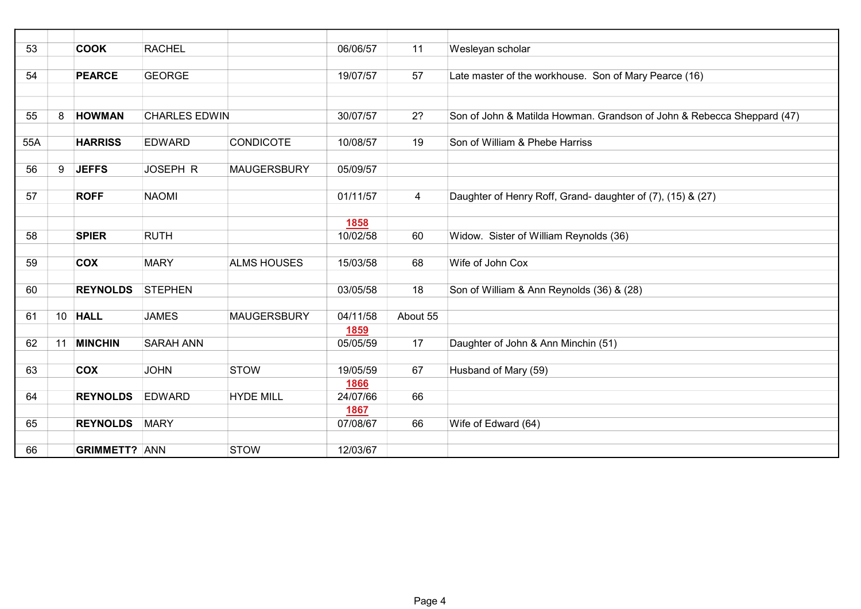| 53  |    | <b>COOK</b>          | <b>RACHEL</b>        |                    | 06/06/57 | 11             | Wesleyan scholar                                                       |
|-----|----|----------------------|----------------------|--------------------|----------|----------------|------------------------------------------------------------------------|
|     |    |                      |                      |                    |          |                |                                                                        |
| 54  |    | <b>PEARCE</b>        | <b>GEORGE</b>        |                    | 19/07/57 | 57             | Late master of the workhouse. Son of Mary Pearce (16)                  |
|     |    |                      |                      |                    |          |                |                                                                        |
|     |    |                      |                      |                    |          |                |                                                                        |
| 55  | 8  | <b>HOWMAN</b>        | <b>CHARLES EDWIN</b> |                    | 30/07/57 | 2?             | Son of John & Matilda Howman. Grandson of John & Rebecca Sheppard (47) |
|     |    |                      |                      |                    |          |                |                                                                        |
| 55A |    | <b>HARRISS</b>       | <b>EDWARD</b>        | <b>CONDICOTE</b>   | 10/08/57 | 19             | Son of William & Phebe Harriss                                         |
|     |    |                      |                      |                    |          |                |                                                                        |
| 56  | 9  | <b>JEFFS</b>         | JOSEPH R             | <b>MAUGERSBURY</b> | 05/09/57 |                |                                                                        |
|     |    |                      |                      |                    |          |                |                                                                        |
| 57  |    | <b>ROFF</b>          | <b>NAOMI</b>         |                    | 01/11/57 | $\overline{4}$ | Daughter of Henry Roff, Grand- daughter of (7), (15) & (27)            |
|     |    |                      |                      |                    | 1858     |                |                                                                        |
| 58  |    | <b>SPIER</b>         | <b>RUTH</b>          |                    | 10/02/58 | 60             | Widow. Sister of William Reynolds (36)                                 |
|     |    |                      |                      |                    |          |                |                                                                        |
| 59  |    | <b>COX</b>           | <b>MARY</b>          | <b>ALMS HOUSES</b> | 15/03/58 | 68             | Wife of John Cox                                                       |
|     |    |                      |                      |                    |          |                |                                                                        |
| 60  |    | <b>REYNOLDS</b>      | <b>STEPHEN</b>       |                    | 03/05/58 | 18             | Son of William & Ann Reynolds (36) & (28)                              |
|     |    |                      |                      |                    |          |                |                                                                        |
| 61  |    | 10 HALL              | <b>JAMES</b>         | <b>MAUGERSBURY</b> | 04/11/58 | About 55       |                                                                        |
|     |    |                      |                      |                    | 1859     |                |                                                                        |
| 62  | 11 | <b>MINCHIN</b>       | <b>SARAH ANN</b>     |                    | 05/05/59 | 17             | Daughter of John & Ann Minchin (51)                                    |
|     |    |                      |                      |                    |          |                |                                                                        |
| 63  |    | <b>COX</b>           | <b>JOHN</b>          | <b>STOW</b>        | 19/05/59 | 67             | Husband of Mary (59)                                                   |
|     |    |                      |                      |                    | 1866     |                |                                                                        |
| 64  |    | <b>REYNOLDS</b>      | <b>EDWARD</b>        | <b>HYDE MILL</b>   | 24/07/66 | 66             |                                                                        |
|     |    |                      |                      |                    | 1867     |                |                                                                        |
| 65  |    | <b>REYNOLDS</b>      | <b>MARY</b>          |                    | 07/08/67 | 66             | Wife of Edward (64)                                                    |
|     |    |                      |                      |                    |          |                |                                                                        |
| 66  |    | <b>GRIMMETT? ANN</b> |                      | <b>STOW</b>        | 12/03/67 |                |                                                                        |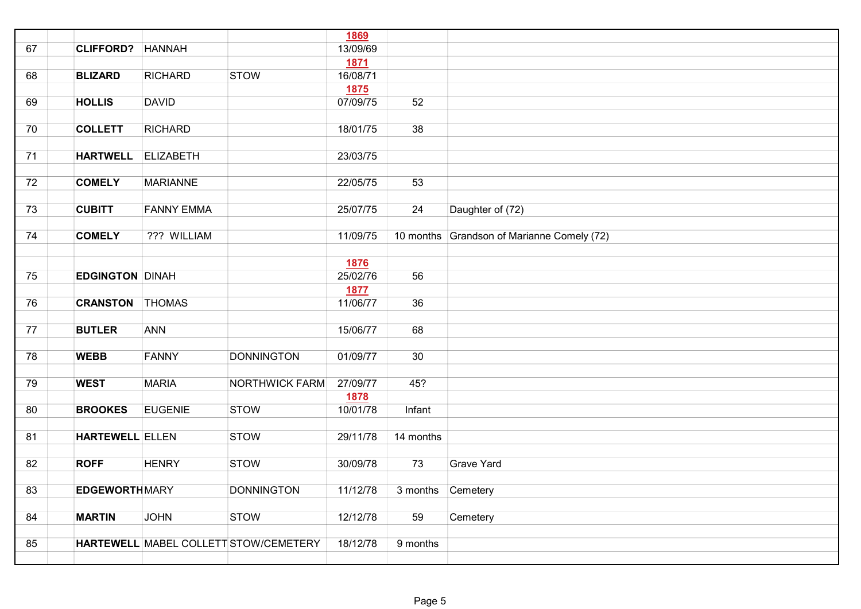|    |                        |                   |                                       | <b>1869</b> |                   |                                            |
|----|------------------------|-------------------|---------------------------------------|-------------|-------------------|--------------------------------------------|
| 67 | <b>CLIFFORD?</b>       | <b>HANNAH</b>     |                                       | 13/09/69    |                   |                                            |
|    |                        |                   |                                       | <b>1871</b> |                   |                                            |
| 68 | <b>BLIZARD</b>         | <b>RICHARD</b>    | <b>STOW</b>                           | 16/08/71    |                   |                                            |
|    |                        |                   |                                       | <b>1875</b> |                   |                                            |
| 69 | <b>HOLLIS</b>          | <b>DAVID</b>      |                                       | 07/09/75    | 52                |                                            |
|    |                        |                   |                                       |             |                   |                                            |
| 70 | <b>COLLETT</b>         | <b>RICHARD</b>    |                                       | 18/01/75    | 38                |                                            |
|    |                        |                   |                                       |             |                   |                                            |
| 71 | <b>HARTWELL</b>        | <b>ELIZABETH</b>  |                                       | 23/03/75    |                   |                                            |
|    |                        |                   |                                       |             |                   |                                            |
| 72 | <b>COMELY</b>          | <b>MARIANNE</b>   |                                       | 22/05/75    | 53                |                                            |
|    |                        |                   |                                       |             |                   |                                            |
| 73 | <b>CUBITT</b>          | <b>FANNY EMMA</b> |                                       | 25/07/75    | 24                | Daughter of (72)                           |
|    |                        |                   |                                       |             |                   |                                            |
| 74 | <b>COMELY</b>          | ??? WILLIAM       |                                       | 11/09/75    |                   | 10 months Grandson of Marianne Comely (72) |
|    |                        |                   |                                       |             |                   |                                            |
|    |                        |                   |                                       | 1876        |                   |                                            |
| 75 | <b>EDGINGTON DINAH</b> |                   |                                       | 25/02/76    | 56                |                                            |
|    |                        |                   |                                       | 1877        |                   |                                            |
| 76 | <b>CRANSTON THOMAS</b> |                   |                                       | 11/06/77    | 36                |                                            |
|    |                        |                   |                                       |             |                   |                                            |
| 77 | <b>BUTLER</b>          | <b>ANN</b>        |                                       | 15/06/77    | 68                |                                            |
|    |                        |                   |                                       |             |                   |                                            |
| 78 | <b>WEBB</b>            | <b>FANNY</b>      | <b>DONNINGTON</b>                     | 01/09/77    | 30                |                                            |
|    |                        |                   |                                       |             |                   |                                            |
| 79 | <b>WEST</b>            | <b>MARIA</b>      | <b>NORTHWICK FARM</b>                 | 27/09/77    | 45?               |                                            |
|    |                        |                   |                                       | <b>1878</b> |                   |                                            |
| 80 | <b>BROOKES</b>         | <b>EUGENIE</b>    | <b>STOW</b>                           | 10/01/78    | Infant            |                                            |
|    |                        |                   |                                       |             |                   |                                            |
| 81 | <b>HARTEWELL ELLEN</b> |                   | <b>STOW</b>                           | 29/11/78    | 14 months         |                                            |
|    |                        |                   |                                       |             |                   |                                            |
| 82 | <b>ROFF</b>            | <b>HENRY</b>      | <b>STOW</b>                           | 30/09/78    | 73                | Grave Yard                                 |
|    |                        |                   |                                       |             |                   |                                            |
| 83 | <b>EDGEWORTHMARY</b>   |                   | <b>DONNINGTON</b>                     | 11/12/78    | 3 months Cemetery |                                            |
|    |                        |                   |                                       |             |                   |                                            |
| 84 | <b>MARTIN</b>          | <b>JOHN</b>       | <b>STOW</b>                           | 12/12/78    | 59                | Cemetery                                   |
| 85 |                        |                   | HARTEWELL MABEL COLLETT STOW/CEMETERY | 18/12/78    | 9 months          |                                            |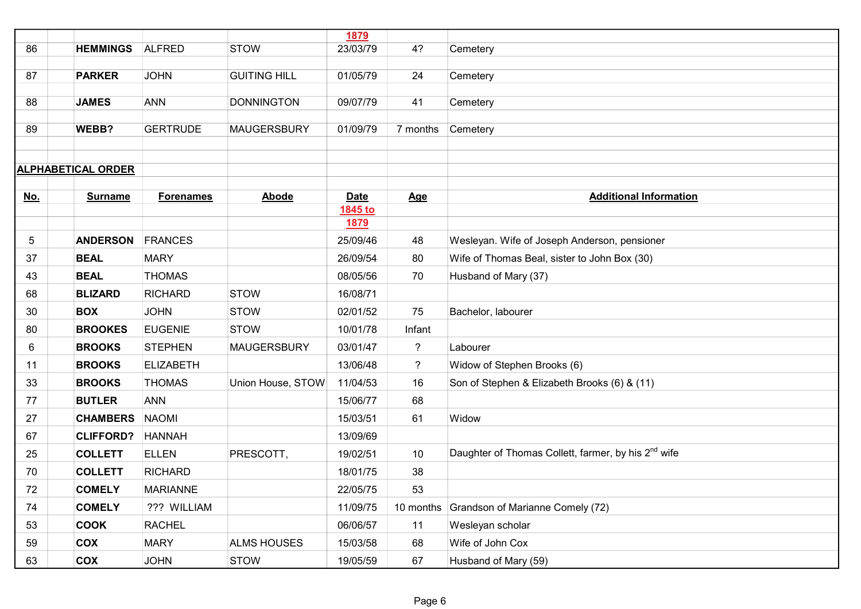|            |                           |                  |                     | 1879        |                |                                                                 |
|------------|---------------------------|------------------|---------------------|-------------|----------------|-----------------------------------------------------------------|
| 86         | <b>HEMMINGS</b>           | <b>ALFRED</b>    | <b>STOW</b>         | 23/03/79    | 4?             | Cemetery                                                        |
| 87         | <b>PARKER</b>             | <b>JOHN</b>      | <b>GUITING HILL</b> | 01/05/79    | 24             |                                                                 |
|            |                           |                  |                     |             |                | Cemetery                                                        |
| 88         | <b>JAMES</b>              | <b>ANN</b>       | <b>DONNINGTON</b>   | 09/07/79    | 41             | Cemetery                                                        |
|            |                           |                  |                     |             |                |                                                                 |
| 89         | WEBB?                     | <b>GERTRUDE</b>  | <b>MAUGERSBURY</b>  | 01/09/79    | 7 months       | Cemetery                                                        |
|            |                           |                  |                     |             |                |                                                                 |
|            | <b>ALPHABETICAL ORDER</b> |                  |                     |             |                |                                                                 |
|            |                           |                  |                     |             |                |                                                                 |
| <u>No.</u> | <b>Surname</b>            | <b>Forenames</b> | <b>Abode</b>        | <b>Date</b> | Age            | <b>Additional Information</b>                                   |
|            |                           |                  |                     | 1845 to     |                |                                                                 |
|            |                           |                  |                     | <u>1879</u> |                |                                                                 |
| 5          | <b>ANDERSON</b>           | FRANCES          |                     | 25/09/46    | 48             | Wesleyan. Wife of Joseph Anderson, pensioner                    |
| 37         | <b>BEAL</b>               | <b>MARY</b>      |                     | 26/09/54    | 80             | Wife of Thomas Beal, sister to John Box (30)                    |
| 43         | <b>BEAL</b>               | <b>THOMAS</b>    |                     | 08/05/56    | 70             | Husband of Mary (37)                                            |
| 68         | <b>BLIZARD</b>            | <b>RICHARD</b>   | <b>STOW</b>         | 16/08/71    |                |                                                                 |
| 30         | <b>BOX</b>                | <b>JOHN</b>      | <b>STOW</b>         | 02/01/52    | 75             | Bachelor, labourer                                              |
| 80         | <b>BROOKES</b>            | <b>EUGENIE</b>   | <b>STOW</b>         | 10/01/78    | Infant         |                                                                 |
| 6          | <b>BROOKS</b>             | <b>STEPHEN</b>   | <b>MAUGERSBURY</b>  | 03/01/47    | $\overline{?}$ | Labourer                                                        |
| 11         | <b>BROOKS</b>             | <b>ELIZABETH</b> |                     | 13/06/48    | $\tilde{?}$    | Widow of Stephen Brooks (6)                                     |
| 33         | <b>BROOKS</b>             | <b>THOMAS</b>    | Union House, STOW   | 11/04/53    | 16             | Son of Stephen & Elizabeth Brooks (6) & (11)                    |
| 77         | <b>BUTLER</b>             | <b>ANN</b>       |                     | 15/06/77    | 68             |                                                                 |
| 27         | <b>CHAMBERS</b>           | <b>NAOMI</b>     |                     | 15/03/51    | 61             | Widow                                                           |
| 67         | <b>CLIFFORD?</b>          | <b>HANNAH</b>    |                     | 13/09/69    |                |                                                                 |
| 25         | <b>COLLETT</b>            | <b>ELLEN</b>     | PRESCOTT,           | 19/02/51    | 10             | Daughter of Thomas Collett, farmer, by his 2 <sup>nd</sup> wife |
| 70         | <b>COLLETT</b>            | <b>RICHARD</b>   |                     | 18/01/75    | 38             |                                                                 |
| 72         | <b>COMELY</b>             | <b>MARIANNE</b>  |                     | 22/05/75    | 53             |                                                                 |
| 74         | <b>COMELY</b>             | ??? WILLIAM      |                     | 11/09/75    | 10 months      | Grandson of Marianne Comely (72)                                |
| 53         | <b>COOK</b>               | <b>RACHEL</b>    |                     | 06/06/57    | 11             | Wesleyan scholar                                                |
| 59         | <b>COX</b>                | <b>MARY</b>      | <b>ALMS HOUSES</b>  | 15/03/58    | 68             | Wife of John Cox                                                |
| 63         | COX                       | <b>JOHN</b>      | <b>STOW</b>         | 19/05/59    | 67             | Husband of Mary (59)                                            |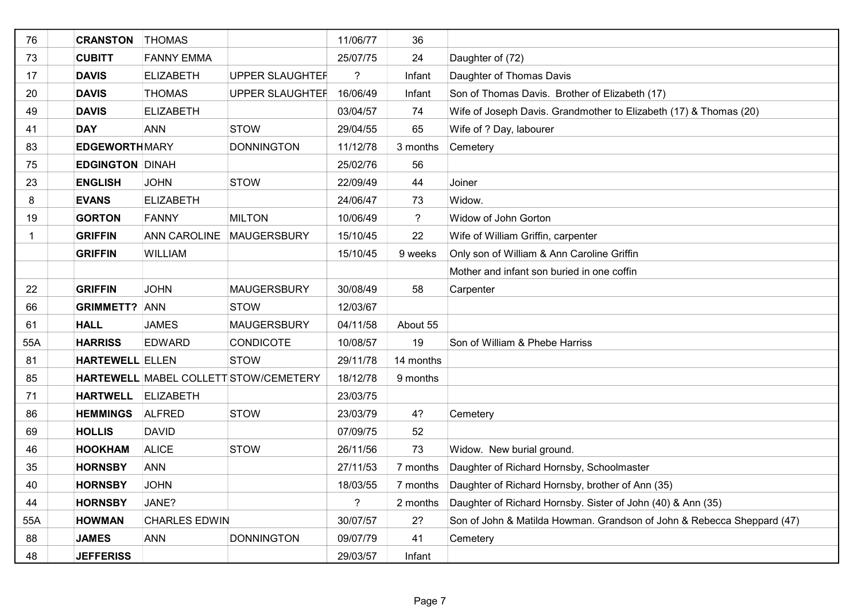| 76           | <b>CRANSTON</b>        | <b>THOMAS</b>        |                                       | 11/06/77 | 36          |                                                                        |
|--------------|------------------------|----------------------|---------------------------------------|----------|-------------|------------------------------------------------------------------------|
| 73           | <b>CUBITT</b>          | <b>FANNY EMMA</b>    |                                       | 25/07/75 | 24          | Daughter of (72)                                                       |
| 17           | <b>DAVIS</b>           | <b>ELIZABETH</b>     | <b>UPPER SLAUGHTEF</b>                | ?        | Infant      | Daughter of Thomas Davis                                               |
| 20           | <b>DAVIS</b>           | <b>THOMAS</b>        | <b>UPPER SLAUGHTEF</b>                | 16/06/49 | Infant      | Son of Thomas Davis. Brother of Elizabeth (17)                         |
| 49           | <b>DAVIS</b>           | <b>ELIZABETH</b>     |                                       | 03/04/57 | 74          | Wife of Joseph Davis. Grandmother to Elizabeth (17) & Thomas (20)      |
| 41           | <b>DAY</b>             | <b>ANN</b>           | <b>STOW</b>                           | 29/04/55 | 65          | Wife of ? Day, labourer                                                |
| 83           | <b>EDGEWORTH MARY</b>  |                      | <b>DONNINGTON</b>                     | 11/12/78 | 3 months    | Cemetery                                                               |
| 75           | <b>EDGINGTON DINAH</b> |                      |                                       | 25/02/76 | 56          |                                                                        |
| 23           | <b>ENGLISH</b>         | <b>JOHN</b>          | <b>STOW</b>                           | 22/09/49 | 44          | Joiner                                                                 |
| 8            | <b>EVANS</b>           | <b>ELIZABETH</b>     |                                       | 24/06/47 | 73          | Widow.                                                                 |
| 19           | <b>GORTON</b>          | FANNY                | <b>MILTON</b>                         | 10/06/49 | $\tilde{?}$ | Widow of John Gorton                                                   |
| $\mathbf{1}$ | <b>GRIFFIN</b>         | <b>ANN CAROLINE</b>  | <b>MAUGERSBURY</b>                    | 15/10/45 | 22          | Wife of William Griffin, carpenter                                     |
|              | <b>GRIFFIN</b>         | <b>WILLIAM</b>       |                                       | 15/10/45 | 9 weeks     | Only son of William & Ann Caroline Griffin                             |
|              |                        |                      |                                       |          |             | Mother and infant son buried in one coffin                             |
| 22           | <b>GRIFFIN</b>         | <b>JOHN</b>          | <b>MAUGERSBURY</b>                    | 30/08/49 | 58          | Carpenter                                                              |
| 66           | <b>GRIMMETT?</b>       | <b>ANN</b>           | <b>STOW</b>                           | 12/03/67 |             |                                                                        |
| 61           | <b>HALL</b>            | <b>JAMES</b>         | <b>MAUGERSBURY</b>                    | 04/11/58 | About 55    |                                                                        |
| 55A          | <b>HARRISS</b>         | <b>EDWARD</b>        | <b>CONDICOTE</b>                      | 10/08/57 | 19          | Son of William & Phebe Harriss                                         |
| 81           | <b>HARTEWELL ELLEN</b> |                      | <b>STOW</b>                           | 29/11/78 | 14 months   |                                                                        |
| 85           |                        |                      | HARTEWELL MABEL COLLETT STOW/CEMETERY | 18/12/78 | 9 months    |                                                                        |
| 71           | <b>HARTWELL</b>        | <b>ELIZABETH</b>     |                                       | 23/03/75 |             |                                                                        |
| 86           | <b>HEMMINGS</b>        | <b>ALFRED</b>        | <b>STOW</b>                           | 23/03/79 | 4?          | Cemetery                                                               |
| 69           | <b>HOLLIS</b>          | <b>DAVID</b>         |                                       | 07/09/75 | 52          |                                                                        |
| 46           | <b>HOOKHAM</b>         | <b>ALICE</b>         | <b>STOW</b>                           | 26/11/56 | 73          | Widow. New burial ground.                                              |
| 35           | <b>HORNSBY</b>         | <b>ANN</b>           |                                       | 27/11/53 | 7 months    | Daughter of Richard Hornsby, Schoolmaster                              |
| 40           | <b>HORNSBY</b>         | <b>JOHN</b>          |                                       | 18/03/55 |             | 7 months Daughter of Richard Hornsby, brother of Ann (35)              |
| 44           | <b>HORNSBY</b>         | JANE?                |                                       | ?        | 2 months    | Daughter of Richard Hornsby. Sister of John (40) & Ann (35)            |
| 55A          | <b>HOWMAN</b>          | <b>CHARLES EDWIN</b> |                                       | 30/07/57 | 2?          | Son of John & Matilda Howman. Grandson of John & Rebecca Sheppard (47) |
| 88           | <b>JAMES</b>           | <b>ANN</b>           | <b>DONNINGTON</b>                     | 09/07/79 | 41          | Cemetery                                                               |
| 48           | <b>JEFFERISS</b>       |                      |                                       | 29/03/57 | Infant      |                                                                        |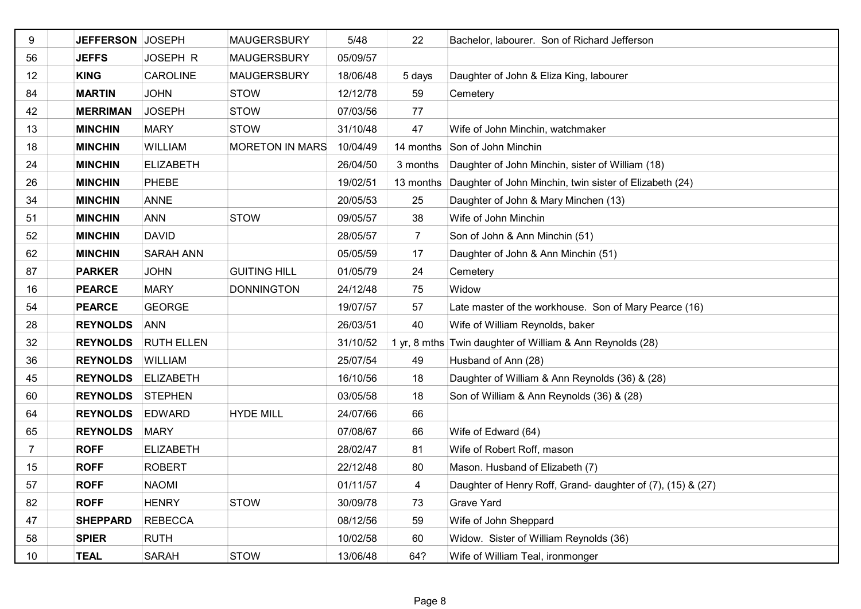| 9  | JEFFERSON JOSEPH |                   | <b>MAUGERSBURY</b>     | 5/48     | 22             | Bachelor, labourer. Son of Richard Jefferson                |
|----|------------------|-------------------|------------------------|----------|----------------|-------------------------------------------------------------|
| 56 | <b>JEFFS</b>     | JOSEPH R          | <b>MAUGERSBURY</b>     | 05/09/57 |                |                                                             |
| 12 | <b>KING</b>      | <b>CAROLINE</b>   | <b>MAUGERSBURY</b>     | 18/06/48 | 5 days         | Daughter of John & Eliza King, labourer                     |
| 84 | <b>MARTIN</b>    | <b>JOHN</b>       | <b>STOW</b>            | 12/12/78 | 59             | Cemetery                                                    |
| 42 | <b>MERRIMAN</b>  | <b>JOSEPH</b>     | <b>STOW</b>            | 07/03/56 | 77             |                                                             |
| 13 | <b>MINCHIN</b>   | <b>MARY</b>       | <b>STOW</b>            | 31/10/48 | 47             | Wife of John Minchin, watchmaker                            |
| 18 | <b>MINCHIN</b>   | <b>WILLIAM</b>    | <b>MORETON IN MARS</b> | 10/04/49 | 14 months      | Son of John Minchin                                         |
| 24 | <b>MINCHIN</b>   | <b>ELIZABETH</b>  |                        | 26/04/50 | 3 months       | Daughter of John Minchin, sister of William (18)            |
| 26 | <b>MINCHIN</b>   | PHEBE             |                        | 19/02/51 | 13 months      | Daughter of John Minchin, twin sister of Elizabeth (24)     |
| 34 | <b>MINCHIN</b>   | <b>ANNE</b>       |                        | 20/05/53 | 25             | Daughter of John & Mary Minchen (13)                        |
| 51 | <b>MINCHIN</b>   | <b>ANN</b>        | <b>STOW</b>            | 09/05/57 | 38             | Wife of John Minchin                                        |
| 52 | <b>MINCHIN</b>   | <b>DAVID</b>      |                        | 28/05/57 | $\overline{7}$ | Son of John & Ann Minchin (51)                              |
| 62 | <b>MINCHIN</b>   | <b>SARAH ANN</b>  |                        | 05/05/59 | 17             | Daughter of John & Ann Minchin (51)                         |
| 87 | <b>PARKER</b>    | <b>JOHN</b>       | <b>GUITING HILL</b>    | 01/05/79 | 24             | Cemetery                                                    |
| 16 | <b>PEARCE</b>    | <b>MARY</b>       | <b>DONNINGTON</b>      | 24/12/48 | 75             | Widow                                                       |
| 54 | <b>PEARCE</b>    | <b>GEORGE</b>     |                        | 19/07/57 | 57             | Late master of the workhouse. Son of Mary Pearce (16)       |
| 28 | <b>REYNOLDS</b>  | <b>ANN</b>        |                        | 26/03/51 | 40             | Wife of William Reynolds, baker                             |
| 32 | <b>REYNOLDS</b>  | <b>RUTH ELLEN</b> |                        | 31/10/52 |                | 1 yr, 8 mths Twin daughter of William & Ann Reynolds (28)   |
| 36 | <b>REYNOLDS</b>  | <b>WILLIAM</b>    |                        | 25/07/54 | 49             | Husband of Ann (28)                                         |
| 45 | <b>REYNOLDS</b>  | <b>ELIZABETH</b>  |                        | 16/10/56 | 18             | Daughter of William & Ann Reynolds (36) & (28)              |
| 60 | <b>REYNOLDS</b>  | <b>STEPHEN</b>    |                        | 03/05/58 | 18             | Son of William & Ann Reynolds (36) & (28)                   |
| 64 | <b>REYNOLDS</b>  | <b>EDWARD</b>     | <b>HYDE MILL</b>       | 24/07/66 | 66             |                                                             |
| 65 | <b>REYNOLDS</b>  | <b>MARY</b>       |                        | 07/08/67 | 66             | Wife of Edward (64)                                         |
| 7  | <b>ROFF</b>      | <b>ELIZABETH</b>  |                        | 28/02/47 | 81             | Wife of Robert Roff, mason                                  |
| 15 | <b>ROFF</b>      | <b>ROBERT</b>     |                        | 22/12/48 | 80             | Mason. Husband of Elizabeth (7)                             |
| 57 | <b>ROFF</b>      | <b>NAOMI</b>      |                        | 01/11/57 | 4              | Daughter of Henry Roff, Grand- daughter of (7), (15) & (27) |
| 82 | <b>ROFF</b>      | <b>HENRY</b>      | <b>STOW</b>            | 30/09/78 | 73             | <b>Grave Yard</b>                                           |
| 47 | <b>SHEPPARD</b>  | <b>REBECCA</b>    |                        | 08/12/56 | 59             | Wife of John Sheppard                                       |
| 58 | <b>SPIER</b>     | <b>RUTH</b>       |                        | 10/02/58 | 60             | Widow. Sister of William Reynolds (36)                      |
| 10 | <b>TEAL</b>      | <b>SARAH</b>      | <b>STOW</b>            | 13/06/48 | 64?            | Wife of William Teal, ironmonger                            |